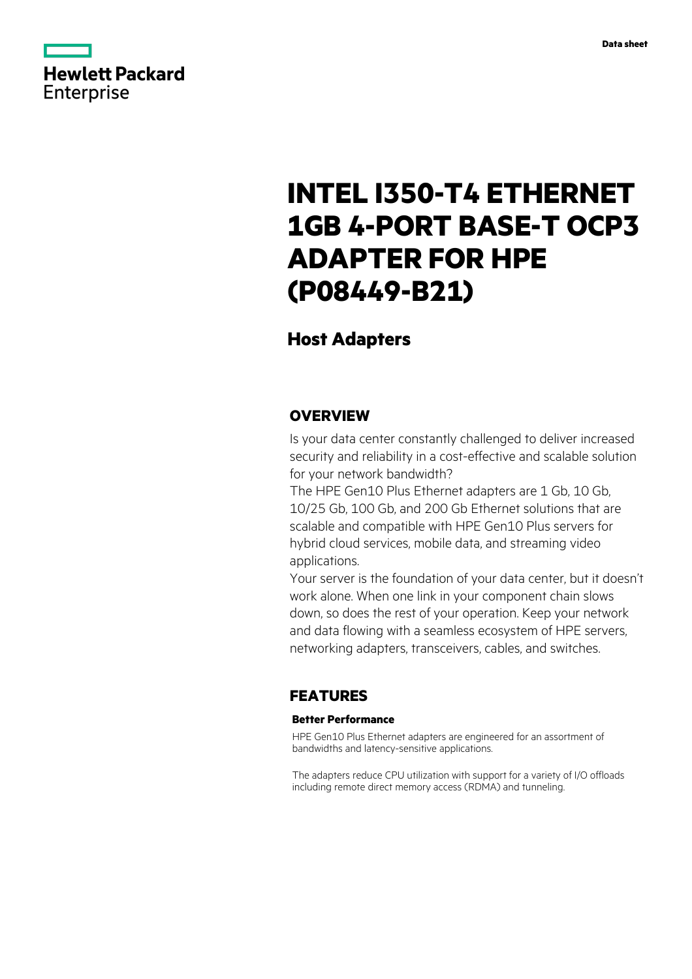

# **INTEL I350-T4 ETHERNET 1GB 4-PORT BASE-T OCP3 ADAPTER FOR HPE (P08449-B21)**

# **Host Adapters**

### **OVERVIEW**

Is your data center constantly challenged to deliver increased security and reliability in a cost-effective and scalable solution for your network bandwidth?

The HPE Gen10 Plus Ethernet adapters are 1 Gb, 10 Gb, 10/25 Gb, 100 Gb, and 200 Gb Ethernet solutions that are scalable and compatible with HPE Gen10 Plus servers for hybrid cloud services, mobile data, and streaming video applications.

Your server is the foundation of your data center, but it doesn't work alone. When one link in your component chain slows down, so does the rest of your operation. Keep your network and data flowing with a seamless ecosystem of HPE servers, networking adapters, transceivers, cables, and switches.

## **FEATURES**

### **Better Performance**

HPE Gen10 Plus Ethernet adapters are engineered for an assortment of bandwidths and latency-sensitive applications.

The adapters reduce CPU utilization with support for a variety of I/O offloads including remote direct memory access (RDMA) and tunneling.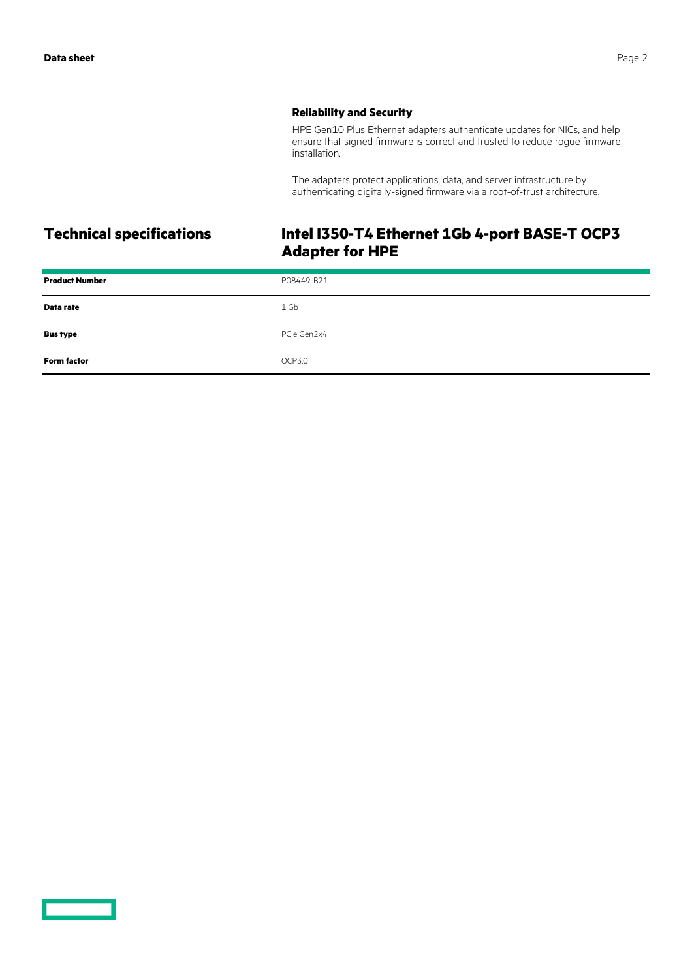### **Reliability and Security**

HPE Gen10 Plus Ethernet adapters authenticate updates for NICs, and help ensure that signed firmware is correct and trusted to reduce rogue firmware installation.

The adapters protect applications, data, and server infrastructure by authenticating digitally-signed firmware via a root-of-trust architecture.

# **Technical specifications Intel I350-T4 Ethernet 1Gb 4-port BASE-T OCP3 Adapter for HPE**

| <b>Product Number</b> | P08449-B21  |
|-----------------------|-------------|
| Data rate             | 1 Gb        |
| <b>Bus type</b>       | PCIe Gen2x4 |
| <b>Form factor</b>    | OCP3.0      |